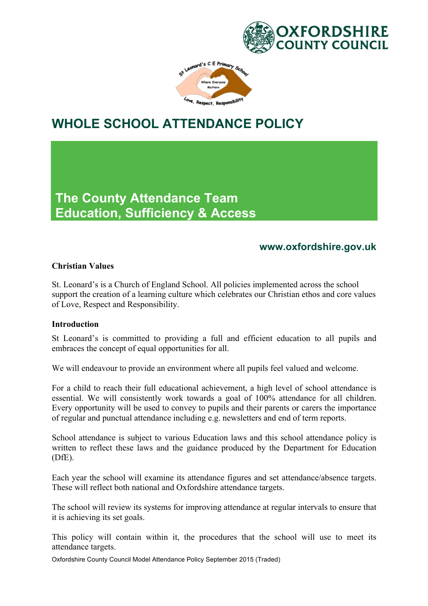



# **WHOLE SCHOOL ATTENDANCE POLICY**

**The County Attendance Team Education, Sufficiency & Access**

# **www.oxfordshire.gov.uk**

#### **Christian Values**

St. Leonard's is a Church of England School. All policies implemented across the school support the creation of a learning culture which celebrates our Christian ethos and core values of Love, Respect and Responsibility.

#### **Introduction**

St Leonard's is committed to providing a full and efficient education to all pupils and embraces the concept of equal opportunities for all.

We will endeavour to provide an environment where all pupils feel valued and welcome.

For a child to reach their full educational achievement, a high level of school attendance is essential. We will consistently work towards a goal of 100% attendance for all children. Every opportunity will be used to convey to pupils and their parents or carers the importance of regular and punctual attendance including e.g. newsletters and end of term reports.

School attendance is subject to various Education laws and this school attendance policy is written to reflect these laws and the guidance produced by the Department for Education (DfE).

Each year the school will examine its attendance figures and set attendance/absence targets. These will reflect both national and Oxfordshire attendance targets.

The school will review its systems for improving attendance at regular intervals to ensure that it is achieving its set goals.

This policy will contain within it, the procedures that the school will use to meet its attendance targets.

Oxfordshire County Council Model Attendance Policy September 2015 (Traded)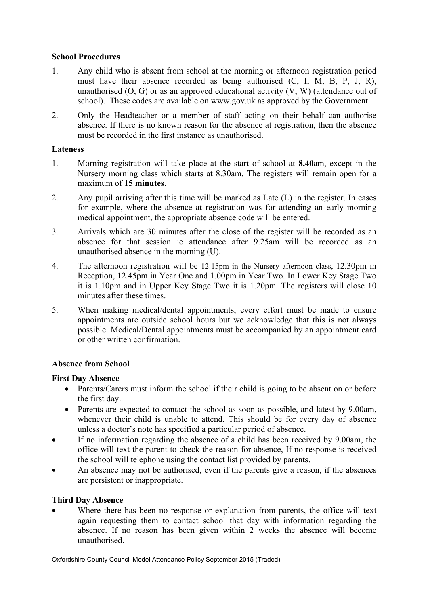#### **School Procedures**

- 1. Any child who is absent from school at the morning or afternoon registration period must have their absence recorded as being authorised (C, I, M, B, P, J, R), unauthorised  $(O, G)$  or as an approved educational activity  $(V, W)$  (attendance out of school). These codes are available on www.gov.uk as approved by the Government.
- 2. Only the Headteacher or a member of staff acting on their behalf can authorise absence. If there is no known reason for the absence at registration, then the absence must be recorded in the first instance as unauthorised.

# **Lateness**

- 1. Morning registration will take place at the start of school at **8.40**am, except in the Nursery morning class which starts at 8.30am. The registers will remain open for a maximum of **15 minutes**.
- 2. Any pupil arriving after this time will be marked as Late (L) in the register. In cases for example, where the absence at registration was for attending an early morning medical appointment, the appropriate absence code will be entered.
- 3. Arrivals which are 30 minutes after the close of the register will be recorded as an absence for that session ie attendance after 9.25am will be recorded as an unauthorised absence in the morning (U).
- 4. The afternoon registration will be 12:15pm in the Nursery afternoon class, 12.30pm in Reception, 12.45pm in Year One and 1.00pm in Year Two. In Lower Key Stage Two it is 1.10pm and in Upper Key Stage Two it is 1.20pm. The registers will close 10 minutes after these times.
- 5. When making medical/dental appointments, every effort must be made to ensure appointments are outside school hours but we acknowledge that this is not always possible. Medical/Dental appointments must be accompanied by an appointment card or other written confirmation.

# **Absence from School**

# **First Day Absence**

- Parents/Carers must inform the school if their child is going to be absent on or before the first day.
- Parents are expected to contact the school as soon as possible, and latest by 9.00am, whenever their child is unable to attend. This should be for every day of absence unless a doctor's note has specified a particular period of absence.
- If no information regarding the absence of a child has been received by 9.00am, the office will text the parent to check the reason for absence, If no response is received the school will telephone using the contact list provided by parents.
- An absence may not be authorised, even if the parents give a reason, if the absences are persistent or inappropriate.

# **Third Day Absence**

Where there has been no response or explanation from parents, the office will text again requesting them to contact school that day with information regarding the absence. If no reason has been given within 2 weeks the absence will become unauthorised.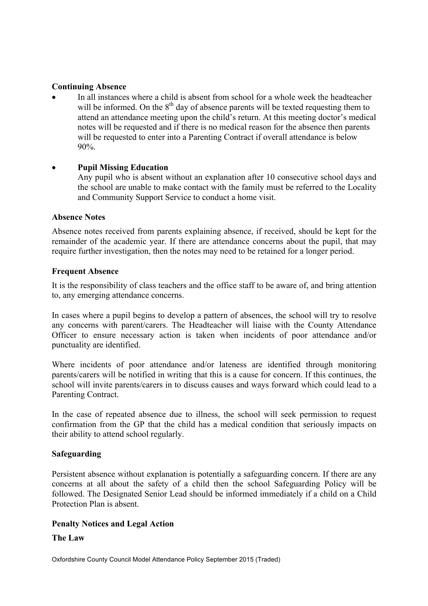#### **Continuing Absence**

• In all instances where a child is absent from school for a whole week the headteacher will be informed. On the  $8<sup>th</sup>$  day of absence parents will be texted requesting them to attend an attendance meeting upon the child's return. At this meeting doctor's medical notes will be requested and if there is no medical reason for the absence then parents will be requested to enter into a Parenting Contract if overall attendance is below 90%.

#### • **Pupil Missing Education**

Any pupil who is absent without an explanation after 10 consecutive school days and the school are unable to make contact with the family must be referred to the Locality and Community Support Service to conduct a home visit.

#### **Absence Notes**

Absence notes received from parents explaining absence, if received, should be kept for the remainder of the academic year. If there are attendance concerns about the pupil, that may require further investigation, then the notes may need to be retained for a longer period.

#### **Frequent Absence**

It is the responsibility of class teachers and the office staff to be aware of, and bring attention to, any emerging attendance concerns.

In cases where a pupil begins to develop a pattern of absences, the school will try to resolve any concerns with parent/carers. The Headteacher will liaise with the County Attendance Officer to ensure necessary action is taken when incidents of poor attendance and/or punctuality are identified.

Where incidents of poor attendance and/or lateness are identified through monitoring parents/carers will be notified in writing that this is a cause for concern. If this continues, the school will invite parents/carers in to discuss causes and ways forward which could lead to a Parenting Contract.

In the case of repeated absence due to illness, the school will seek permission to request confirmation from the GP that the child has a medical condition that seriously impacts on their ability to attend school regularly.

# **Safeguarding**

Persistent absence without explanation is potentially a safeguarding concern. If there are any concerns at all about the safety of a child then the school Safeguarding Policy will be followed. The Designated Senior Lead should be informed immediately if a child on a Child Protection Plan is absent.

# **Penalty Notices and Legal Action**

#### **The Law**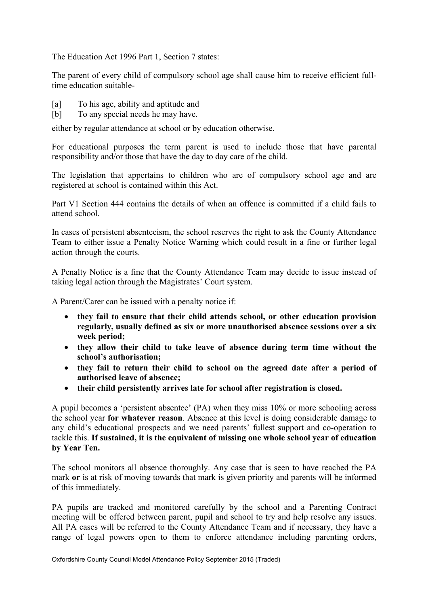The Education Act 1996 Part 1, Section 7 states:

The parent of every child of compulsory school age shall cause him to receive efficient fulltime education suitable-

- [a] To his age, ability and aptitude and
- [b] To any special needs he may have.

either by regular attendance at school or by education otherwise.

For educational purposes the term parent is used to include those that have parental responsibility and/or those that have the day to day care of the child.

The legislation that appertains to children who are of compulsory school age and are registered at school is contained within this Act.

Part V1 Section 444 contains the details of when an offence is committed if a child fails to attend school.

In cases of persistent absenteeism, the school reserves the right to ask the County Attendance Team to either issue a Penalty Notice Warning which could result in a fine or further legal action through the courts.

A Penalty Notice is a fine that the County Attendance Team may decide to issue instead of taking legal action through the Magistrates' Court system.

A Parent/Carer can be issued with a penalty notice if:

- **they fail to ensure that their child attends school, or other education provision regularly, usually defined as six or more unauthorised absence sessions over a six week period;**
- **they allow their child to take leave of absence during term time without the school's authorisation;**
- **they fail to return their child to school on the agreed date after a period of authorised leave of absence;**
- **their child persistently arrives late for school after registration is closed.**

A pupil becomes a 'persistent absentee' (PA) when they miss 10% or more schooling across the school year **for whatever reason**. Absence at this level is doing considerable damage to any child's educational prospects and we need parents' fullest support and co-operation to tackle this. **If sustained, it is the equivalent of missing one whole school year of education by Year Ten.**

The school monitors all absence thoroughly. Any case that is seen to have reached the PA mark **or** is at risk of moving towards that mark is given priority and parents will be informed of this immediately.

PA pupils are tracked and monitored carefully by the school and a Parenting Contract meeting will be offered between parent, pupil and school to try and help resolve any issues. All PA cases will be referred to the County Attendance Team and if necessary, they have a range of legal powers open to them to enforce attendance including parenting orders,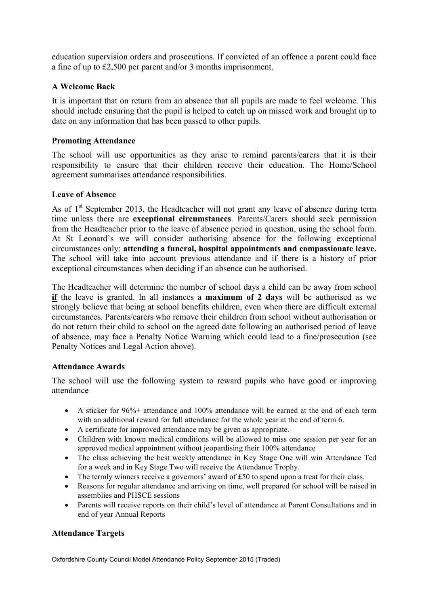education supervision orders and prosecutions. If convicted of an offence a parent could face a fine of up to £2,500 per parent and/or 3 months imprisonment.

#### **A Welcome Back**

It is important that on return from an absence that all pupils are made to feel welcome. This should include ensuring that the pupil is helped to catch up on missed work and brought up to date on any information that has been passed to other pupils.

#### **Promoting Attendance**

The school will use opportunities as they arise to remind parents/carers that it is their responsibility to ensure that their children receive their education. The Home/School agreement summarises attendance responsibilities.

#### **Leave of Absence**

As of  $1<sup>st</sup>$  September 2013, the Headteacher will not grant any leave of absence during term time unless there are **exceptional circumstances**. Parents/Carers should seek permission from the Headteacher prior to the leave of absence period in question, using the school form. At St Leonard's we will consider authorising absence for the following exceptional circumstances only: **attending a funeral, hospital appointments and compassionate leave.** The school will take into account previous attendance and if there is a history of prior exceptional circumstances when deciding if an absence can be authorised.

The Headteacher will determine the number of school days a child can be away from school **if** the leave is granted. In all instances a **maximum of 2 days** will be authorised as we strongly believe that being at school benefits children, even when there are difficult external circumstances. Parents/carers who remove their children from school without authorisation or do not return their child to school on the agreed date following an authorised period of leave of absence, may face a Penalty Notice Warning which could lead to a fine/prosecution (see Penalty Notices and Legal Action above).

#### **Attendance Awards**

The school will use the following system to reward pupils who have good or improving attendance

- A sticker for 96% + attendance and 100% attendance will be earned at the end of each term with an additional reward for full attendance for the whole year at the end of term 6.
- A certificate for improved attendance may be given as appropriate.
- Children with known medical conditions will be allowed to miss one session per year for an approved medical appointment without jeopardising their 100% attendance
- The class achieving the best weekly attendance in Key Stage One will win Attendance Ted for a week and in Key Stage Two will receive the Attendance Trophy.
- The termly winners receive a governors' award of £50 to spend upon a treat for their class.
- Reasons for regular attendance and arriving on time, well prepared for school will be raised in assemblies and PHSCE sessions
- Parents will receive reports on their child's level of attendance at Parent Consultations and in end of year Annual Reports

# **Attendance Targets**

Oxfordshire County Council Model Attendance Policy September 2015 (Traded)